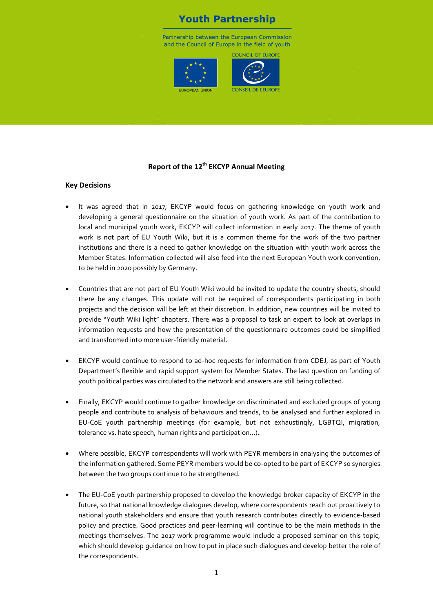# **Youth Partnership**

Partnership between the European Commission and the Council of Europe in the field of youth

COUNCIL OF FUROPL





# **Report of the 12th EKCYP Annual Meeting**

#### **Key Decisions**

- It was agreed that in 2017, EKCYP would focus on gathering knowledge on youth work and developing a general questionnaire on the situation of youth work. As part of the contribution to local and municipal youth work, EKCYP will collect information in early 2017. The theme of youth work is not part of EU Youth Wiki, but it is a common theme for the work of the two partner institutions and there is a need to gather knowledge on the situation with youth work across the Member States. Information collected will also feed into the next European Youth work convention, to be held in 2020 possibly by Germany.
- Countries that are not part of EU Youth Wiki would be invited to update the country sheets, should there be any changes. This update will not be required of correspondents participating in both projects and the decision will be left at their discretion. In addition, new countries will be invited to provide "Youth Wiki light" chapters. There was a proposal to task an expert to look at overlaps in information requests and how the presentation of the questionnaire outcomes could be simplified and transformed into more user-friendly material.
- EKCYP would continue to respond to ad-hoc requests for information from CDEJ, as part of Youth Department's flexible and rapid support system for Member States. The last question on funding of youth political parties was circulated to the network and answers are still being collected.
- Finally, EKCYP would continue to gather knowledge on discriminated and excluded groups of young people and contribute to analysis of behaviours and trends, to be analysed and further explored in EU-CoE youth partnership meetings (for example, but not exhaustingly, LGBTQI, migration, tolerance vs. hate speech, human rights and participation…).
- Where possible, EKCYP correspondents will work with PEYR members in analysing the outcomes of the information gathered. Some PEYR members would be co-opted to be part of EKCYP so synergies between the two groups continue to be strengthened.
- The EU-CoE youth partnership proposed to develop the knowledge broker capacity of EKCYP in the future, so that national knowledge dialogues develop, where correspondents reach out proactively to national youth stakeholders and ensure that youth research contributes directly to evidence-based policy and practice. Good practices and peer-learning will continue to be the main methods in the meetings themselves. The 2017 work programme would include a proposed seminar on this topic, which should develop guidance on how to put in place such dialogues and develop better the role of the correspondents.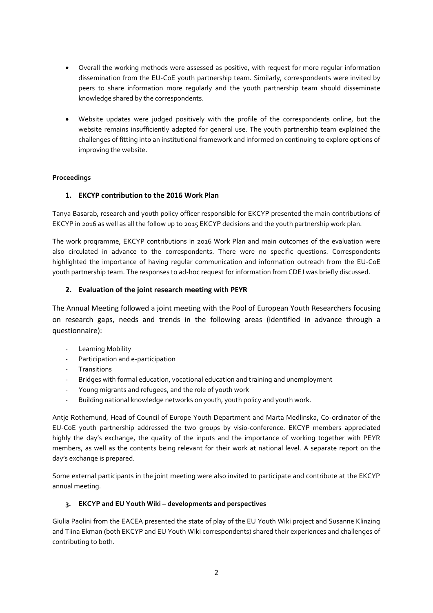- Overall the working methods were assessed as positive, with request for more regular information dissemination from the EU-CoE youth partnership team. Similarly, correspondents were invited by peers to share information more regularly and the youth partnership team should disseminate knowledge shared by the correspondents.
- Website updates were judged positively with the profile of the correspondents online, but the website remains insufficiently adapted for general use. The youth partnership team explained the challenges of fitting into an institutional framework and informed on continuing to explore options of improving the website.

## **Proceedings**

## **1. EKCYP contribution to the 2016 Work Plan**

Tanya Basarab, research and youth policy officer responsible for EKCYP presented the main contributions of EKCYP in 2016 as well as all the follow up to 2015 EKCYP decisions and the youth partnership work plan.

The work programme, EKCYP contributions in 2016 Work Plan and main outcomes of the evaluation were also circulated in advance to the correspondents. There were no specific questions. Correspondents highlighted the importance of having regular communication and information outreach from the EU-CoE youth partnership team. The responses to ad-hoc request for information from CDEJ was briefly discussed.

## **2. Evaluation of the joint research meeting with PEYR**

The Annual Meeting followed a joint meeting with the Pool of European Youth Researchers focusing on research gaps, needs and trends in the following areas (identified in advance through a questionnaire):

- Learning Mobility
- Participation and e-participation
- Transitions
- Bridges with formal education, vocational education and training and unemployment
- Young migrants and refugees, and the role of youth work
- Building national knowledge networks on youth, youth policy and youth work.

Antje Rothemund, Head of Council of Europe Youth Department and Marta Medlinska, Co-ordinator of the EU-CoE youth partnership addressed the two groups by visio-conference. EKCYP members appreciated highly the day's exchange, the quality of the inputs and the importance of working together with PEYR members, as well as the contents being relevant for their work at national level. A separate report on the day's exchange is prepared.

Some external participants in the joint meeting were also invited to participate and contribute at the EKCYP annual meeting.

#### **3. EKCYP and EU Youth Wiki – developments and perspectives**

Giulia Paolini from the EACEA presented the state of play of the EU Youth Wiki project and Susanne Klinzing and Tiina Ekman (both EKCYP and EU Youth Wiki correspondents) shared their experiences and challenges of contributing to both.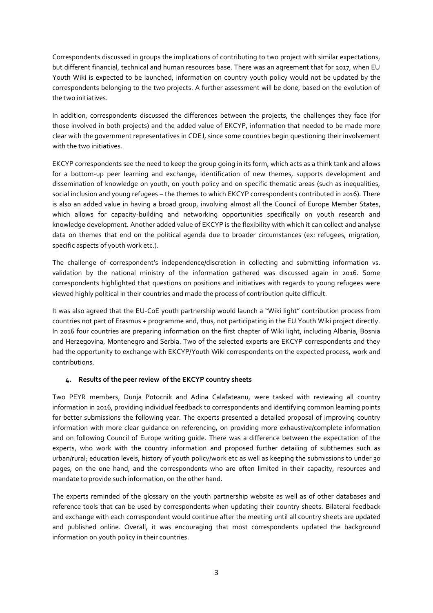Correspondents discussed in groups the implications of contributing to two project with similar expectations, but different financial, technical and human resources base. There was an agreement that for 2017, when EU Youth Wiki is expected to be launched, information on country youth policy would not be updated by the correspondents belonging to the two projects. A further assessment will be done, based on the evolution of the two initiatives.

In addition, correspondents discussed the differences between the projects, the challenges they face (for those involved in both projects) and the added value of EKCYP, information that needed to be made more clear with the government representatives in CDEJ, since some countries begin questioning their involvement with the two initiatives.

EKCYP correspondents see the need to keep the group going in its form, which acts as a think tank and allows for a bottom-up peer learning and exchange, identification of new themes, supports development and dissemination of knowledge on youth, on youth policy and on specific thematic areas (such as inequalities, social inclusion and young refugees – the themes to which EKCYP correspondents contributed in 2016). There is also an added value in having a broad group, involving almost all the Council of Europe Member States, which allows for capacity-building and networking opportunities specifically on youth research and knowledge development. Another added value of EKCYP is the flexibility with which it can collect and analyse data on themes that end on the political agenda due to broader circumstances (ex: refugees, migration, specific aspects of youth work etc.).

The challenge of correspondent's independence/discretion in collecting and submitting information vs. validation by the national ministry of the information gathered was discussed again in 2016. Some correspondents highlighted that questions on positions and initiatives with regards to young refugees were viewed highly political in their countries and made the process of contribution quite difficult.

It was also agreed that the EU-CoE youth partnership would launch a "Wiki light" contribution process from countries not part of Erasmus + programme and, thus, not participating in the EU Youth Wiki project directly. In 2016 four countries are preparing information on the first chapter of Wiki light, including Albania, Bosnia and Herzegovina, Montenegro and Serbia. Two of the selected experts are EKCYP correspondents and they had the opportunity to exchange with EKCYP/Youth Wiki correspondents on the expected process, work and contributions.

#### **4. Results of the peer review of the EKCYP country sheets**

Two PEYR members, Dunja Potocnik and Adina Calafateanu, were tasked with reviewing all country information in 2016, providing individual feedback to correspondents and identifying common learning points for better submissions the following year. The experts presented a detailed proposal of improving country information with more clear guidance on referencing, on providing more exhaustive/complete information and on following Council of Europe writing guide. There was a difference between the expectation of the experts, who work with the country information and proposed further detailing of subthemes such as urban/rural; education levels, history of youth policy/work etc as well as keeping the submissions to under 30 pages, on the one hand, and the correspondents who are often limited in their capacity, resources and mandate to provide such information, on the other hand.

The experts reminded of the glossary on the youth partnership website as well as of other databases and reference tools that can be used by correspondents when updating their country sheets. Bilateral feedback and exchange with each correspondent would continue after the meeting until all country sheets are updated and published online. Overall, it was encouraging that most correspondents updated the background information on youth policy in their countries.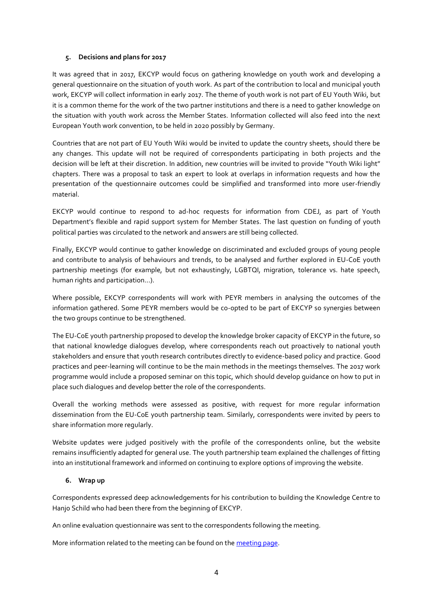#### **5. Decisions and plans for 2017**

It was agreed that in 2017, EKCYP would focus on gathering knowledge on youth work and developing a general questionnaire on the situation of youth work. As part of the contribution to local and municipal youth work, EKCYP will collect information in early 2017. The theme of youth work is not part of EU Youth Wiki, but it is a common theme for the work of the two partner institutions and there is a need to gather knowledge on the situation with youth work across the Member States. Information collected will also feed into the next European Youth work convention, to be held in 2020 possibly by Germany.

Countries that are not part of EU Youth Wiki would be invited to update the country sheets, should there be any changes. This update will not be required of correspondents participating in both projects and the decision will be left at their discretion. In addition, new countries will be invited to provide "Youth Wiki light" chapters. There was a proposal to task an expert to look at overlaps in information requests and how the presentation of the questionnaire outcomes could be simplified and transformed into more user-friendly material.

EKCYP would continue to respond to ad-hoc requests for information from CDEJ, as part of Youth Department's flexible and rapid support system for Member States. The last question on funding of youth political parties was circulated to the network and answers are still being collected.

Finally, EKCYP would continue to gather knowledge on discriminated and excluded groups of young people and contribute to analysis of behaviours and trends, to be analysed and further explored in EU-CoE youth partnership meetings (for example, but not exhaustingly, LGBTQI, migration, tolerance vs. hate speech, human rights and participation…).

Where possible, EKCYP correspondents will work with PEYR members in analysing the outcomes of the information gathered. Some PEYR members would be co-opted to be part of EKCYP so synergies between the two groups continue to be strengthened.

The EU-CoE youth partnership proposed to develop the knowledge broker capacity of EKCYP in the future, so that national knowledge dialogues develop, where correspondents reach out proactively to national youth stakeholders and ensure that youth research contributes directly to evidence-based policy and practice. Good practices and peer-learning will continue to be the main methods in the meetings themselves. The 2017 work programme would include a proposed seminar on this topic, which should develop guidance on how to put in place such dialogues and develop better the role of the correspondents.

Overall the working methods were assessed as positive, with request for more regular information dissemination from the EU-CoE youth partnership team. Similarly, correspondents were invited by peers to share information more regularly.

Website updates were judged positively with the profile of the correspondents online, but the website remains insufficiently adapted for general use. The youth partnership team explained the challenges of fitting into an institutional framework and informed on continuing to explore options of improving the website.

## **6. Wrap up**

Correspondents expressed deep acknowledgements for his contribution to building the Knowledge Centre to Hanjo Schild who had been there from the beginning of EKCYP.

An online evaluation questionnaire was sent to the correspondents following the meeting.

More information related to the meeting can be found on the [meeting page.](http://pjp-eu.coe.int/en/web/youth-partnership/meeting-2016)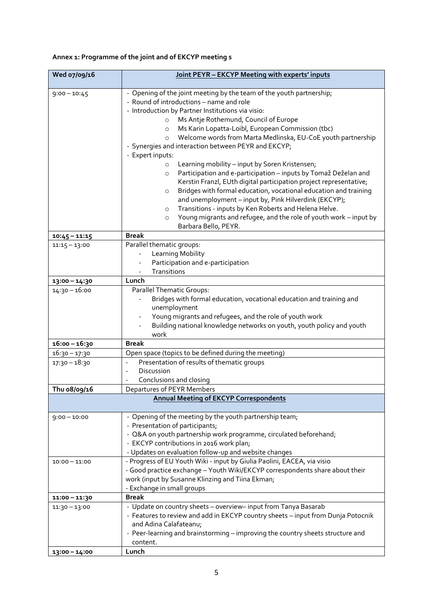# **Annex 1: Programme of the joint and of EKCYP meeting s**

| Wed 07/09/16    | Joint PEYR - EKCYP Meeting with experts' inputs                                                                                                                                                                                                                                                                                                                                                                                                                                                                                                                                                                                                                                                                                                                                                                                                                                                                                                                                      |  |  |  |
|-----------------|--------------------------------------------------------------------------------------------------------------------------------------------------------------------------------------------------------------------------------------------------------------------------------------------------------------------------------------------------------------------------------------------------------------------------------------------------------------------------------------------------------------------------------------------------------------------------------------------------------------------------------------------------------------------------------------------------------------------------------------------------------------------------------------------------------------------------------------------------------------------------------------------------------------------------------------------------------------------------------------|--|--|--|
| $9:00 - 10:45$  | - Opening of the joint meeting by the team of the youth partnership;<br>- Round of introductions - name and role<br>- Introduction by Partner Institutions via visio:<br>Ms Antje Rothemund, Council of Europe<br>$\circ$<br>Ms Karin Lopatta-Loibl, European Commission (tbc)<br>$\circ$<br>Welcome words from Marta Medlinska, EU-CoE youth partnership<br>$\circ$<br>- Synergies and interaction between PEYR and EKCYP;<br>- Expert inputs:<br>Learning mobility - input by Soren Kristensen;<br>$\circ$<br>Participation and e-participation - inputs by Tomaž Deželan and<br>$\circ$<br>Kerstin Franzl, EUth digital participation project representative;<br>Bridges with formal education, vocational education and training<br>$\circ$<br>and unemployment - input by, Pink Hilverdink (EKCYP);<br>Transitions - inputs by Ken Roberts and Helena Helve.<br>$\circ$<br>Young migrants and refugee, and the role of youth work - input by<br>$\circ$<br>Barbara Bello, PEYR. |  |  |  |
| $10:45 - 11:15$ | <b>Break</b>                                                                                                                                                                                                                                                                                                                                                                                                                                                                                                                                                                                                                                                                                                                                                                                                                                                                                                                                                                         |  |  |  |
| $11:15 - 13:00$ | Parallel thematic groups:<br>Learning Mobility<br>Participation and e-participation<br>Transitions                                                                                                                                                                                                                                                                                                                                                                                                                                                                                                                                                                                                                                                                                                                                                                                                                                                                                   |  |  |  |
| 13:00 - 14:30   | Lunch                                                                                                                                                                                                                                                                                                                                                                                                                                                                                                                                                                                                                                                                                                                                                                                                                                                                                                                                                                                |  |  |  |
| $14:30 - 16:00$ | Parallel Thematic Groups:<br>Bridges with formal education, vocational education and training and<br>unemployment<br>Young migrants and refugees, and the role of youth work<br>Building national knowledge networks on youth, youth policy and youth<br>work                                                                                                                                                                                                                                                                                                                                                                                                                                                                                                                                                                                                                                                                                                                        |  |  |  |
| 16:00 - 16:30   | <b>Break</b>                                                                                                                                                                                                                                                                                                                                                                                                                                                                                                                                                                                                                                                                                                                                                                                                                                                                                                                                                                         |  |  |  |
| $16:30 - 17:30$ | Open space (topics to be defined during the meeting)                                                                                                                                                                                                                                                                                                                                                                                                                                                                                                                                                                                                                                                                                                                                                                                                                                                                                                                                 |  |  |  |
| $17:30 - 18:30$ | Presentation of results of thematic groups<br>$\blacksquare$<br>Discussion<br>$\blacksquare$<br>Conclusions and closing                                                                                                                                                                                                                                                                                                                                                                                                                                                                                                                                                                                                                                                                                                                                                                                                                                                              |  |  |  |
| Thu 08/09/16    | Departures of PEYR Members                                                                                                                                                                                                                                                                                                                                                                                                                                                                                                                                                                                                                                                                                                                                                                                                                                                                                                                                                           |  |  |  |
|                 | <b>Annual Meeting of EKCYP Correspondents</b>                                                                                                                                                                                                                                                                                                                                                                                                                                                                                                                                                                                                                                                                                                                                                                                                                                                                                                                                        |  |  |  |
| $9:00 - 10:00$  | - Opening of the meeting by the youth partnership team;<br>- Presentation of participants;<br>- Q&A on youth partnership work programme, circulated beforehand;<br>- EKCYP contributions in 2016 work plan;<br>- Updates on evaluation follow-up and website changes                                                                                                                                                                                                                                                                                                                                                                                                                                                                                                                                                                                                                                                                                                                 |  |  |  |
| $10:00 - 11:00$ | - Progress of EU Youth Wiki - input by Giulia Paolini, EACEA, via visio<br>- Good practice exchange - Youth Wiki/EKCYP correspondents share about their<br>work (input by Susanne Klinzing and Tiina Ekman;<br>- Exchange in small groups                                                                                                                                                                                                                                                                                                                                                                                                                                                                                                                                                                                                                                                                                                                                            |  |  |  |
| 11:00 - 11:30   | <b>Break</b>                                                                                                                                                                                                                                                                                                                                                                                                                                                                                                                                                                                                                                                                                                                                                                                                                                                                                                                                                                         |  |  |  |
| $11:30 - 13:00$ | - Update on country sheets - overview- input from Tanya Basarab<br>- Features to review and add in EKCYP country sheets - input from Dunja Potocnik<br>and Adina Calafateanu;<br>- Peer-learning and brainstorming - improving the country sheets structure and<br>content.                                                                                                                                                                                                                                                                                                                                                                                                                                                                                                                                                                                                                                                                                                          |  |  |  |
| 13:00 - 14:00   | Lunch                                                                                                                                                                                                                                                                                                                                                                                                                                                                                                                                                                                                                                                                                                                                                                                                                                                                                                                                                                                |  |  |  |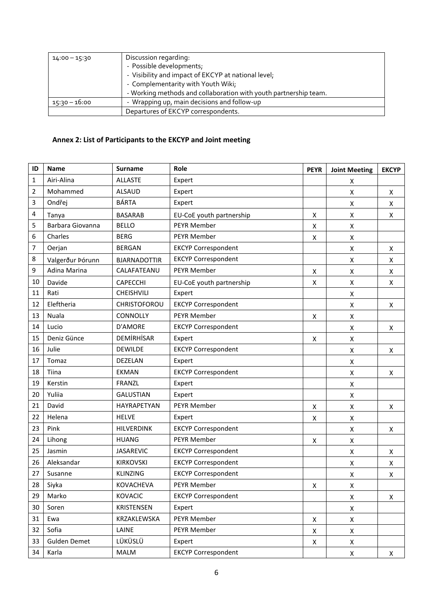| $14:00 - 15:30$ | Discussion regarding:                                            |  |  |  |
|-----------------|------------------------------------------------------------------|--|--|--|
|                 | - Possible developments;                                         |  |  |  |
|                 | - Visibility and impact of EKCYP at national level;              |  |  |  |
|                 | - Complementarity with Youth Wiki;                               |  |  |  |
|                 | - Working methods and collaboration with youth partnership team. |  |  |  |
| 15:30 – 16:00   | - Wrapping up, main decisions and follow-up                      |  |  |  |
|                 | Departures of EKCYP correspondents.                              |  |  |  |

# **Annex 2: List of Participants to the EKCYP and Joint meeting**

| ID | <b>Name</b>      | <b>Surname</b>      | Role                       | <b>PEYR</b>    | <b>Joint Meeting</b> | <b>EKCYP</b> |
|----|------------------|---------------------|----------------------------|----------------|----------------------|--------------|
| 1  | Airi-Alina       | <b>ALLASTE</b>      | Expert                     |                | X                    |              |
| 2  | Mohammed         | <b>ALSAUD</b>       | Expert                     |                | Χ                    | X            |
| 3  | Ondřej           | <b>BÁRTA</b>        | Expert                     |                | Χ                    | X            |
| 4  | Tanya            | <b>BASARAB</b>      | EU-CoE youth partnership   | Χ              | Χ                    | Χ            |
| 5  | Barbara Giovanna | <b>BELLO</b>        | <b>PEYR Member</b>         | X              | Χ                    |              |
| 6  | Charles          | <b>BERG</b>         | <b>PEYR Member</b>         | X              | $\pmb{\mathsf{X}}$   |              |
| 7  | Oerjan           | <b>BERGAN</b>       | <b>EKCYP Correspondent</b> |                | $\pmb{\mathsf{X}}$   | X            |
| 8  | Valgerður Þórunn | <b>BJARNADOTTIR</b> | <b>EKCYP Correspondent</b> |                | Χ                    | X            |
| 9  | Adina Marina     | CALAFATEANU         | <b>PEYR Member</b>         | X              | Χ                    | X            |
| 10 | Davide           | CAPECCHI            | EU-CoE youth partnership   | X              | Χ                    | X            |
| 11 | Rati             | CHEISHVILI          | Expert                     |                | Χ                    |              |
| 12 | Eleftheria       | CHRISTOFOROU        | <b>EKCYP Correspondent</b> |                | Χ                    | X            |
| 13 | Nuala            | CONNOLLY            | PEYR Member                | X              | Χ                    |              |
| 14 | Lucio            | D'AMORE             | <b>EKCYP Correspondent</b> |                | Χ                    | X            |
| 15 | Deniz Günce      | <b>DEMIRHISAR</b>   | Expert                     | X              | Χ                    |              |
| 16 | Julie            | <b>DEWILDE</b>      | <b>EKCYP Correspondent</b> |                | Χ                    | Χ            |
| 17 | Tomaz            | DEZELAN             | Expert                     |                | Χ                    |              |
| 18 | Tiina            | <b>EKMAN</b>        | <b>EKCYP Correspondent</b> |                | Χ                    | Χ            |
| 19 | Kerstin          | <b>FRANZL</b>       | Expert                     |                | Χ                    |              |
| 20 | Yuliia           | <b>GALUSTIAN</b>    | Expert                     |                | Χ                    |              |
| 21 | David            | HAYRAPETYAN         | <b>PEYR Member</b>         | X              | Χ                    | X            |
| 22 | Helena           | <b>HELVE</b>        | Expert                     | X              | Χ                    |              |
| 23 | Pink             | HILVERDINK          | <b>EKCYP Correspondent</b> |                | Χ                    | Χ            |
| 24 | Lihong           | <b>HUANG</b>        | PEYR Member                | X              | Χ                    |              |
| 25 | Jasmin           | <b>JASAREVIC</b>    | <b>EKCYP Correspondent</b> |                | Χ                    | X            |
| 26 | Aleksandar       | <b>KIRKOVSKI</b>    | <b>EKCYP Correspondent</b> |                | Χ                    | Χ            |
| 27 | Susanne          | <b>KLINZING</b>     | <b>EKCYP Correspondent</b> |                | Χ                    | X            |
| 28 | Siyka            | <b>KOVACHEVA</b>    | PEYR Member                | Χ              | X                    |              |
| 29 | Marko            | <b>KOVACIC</b>      | <b>EKCYP Correspondent</b> |                | X                    | X            |
| 30 | Soren            | <b>KRISTENSEN</b>   | Expert                     |                | X                    |              |
| 31 | Ewa              | KRZAKLEWSKA         | PEYR Member                | $\pmb{\times}$ | X                    |              |
| 32 | Sofia            | LAINE               | PEYR Member                | X              | X                    |              |
| 33 | Gulden Demet     | LÜKÜSLÜ             | Expert                     | X              | X                    |              |
| 34 | Karla            | <b>MALM</b>         | <b>EKCYP Correspondent</b> |                | X                    | X            |